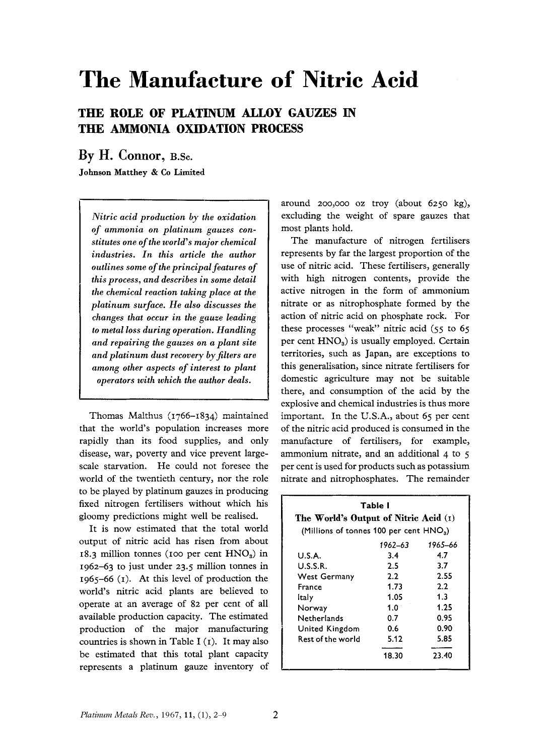# **The Manufacture of Nitric Acid**

## **THE ROLE OF PLATINUM ALLOY GAUZES IN THE AMMONIA OXIDATION PROCESS**

## By H. Connor, B.Sc.

**Johnson Matthey** & **Co Limited** 

*Nitric acid production by the oxidation of ammonia on platinum gauzes constitutes one of the world's major chemical industries. In this article the author outlines some* **of** *the principal features* **of**  *this process, and describes in some detail the chemical reaction taking place at the platinum surface. He also discusses the changes that occur in the gauze leading to metal loss during operation. Handling and repairing the gauzes on a plant site and platinum dust recovery by filters are among other aspects of interest to plant operators with which the author deals.* 

Thomas Malthus (1766-1 **834)** maintained that the world's population increases more rapidly than its food supplies, and only disease, war, poverty and vice prevent largescale starvation. He could not foresee the world of the twentieth century, nor the role to be played by platinum gauzes in producing fixed nitrogen fertilisers without which his gloomy predictions might well be realised.

It is now estimated that the total world output of nitric acid has risen from about **18.3** million tonnes **(100** per cent **HNO,)** in **1962-63** to just under **23.5** million tonnes in **1965-66 (I).** At this level of production the world's nitric acid plants are believed to operate at an average of **82** per cent of all available production capacity. The estimated production of the major manufacturing countries is shown in Table I **(I).** It may also be estimated that this total plant capacity represents a platinum gauze inventory of around **200,000** oz troy (about 6250 **kg),**  excluding the weight of spare gauzes that most plants hold.

The manufacture of nitrogen fertilisers represents by far the largest proportion of the use of nitric acid. These fertilisers, generally with high nitrogen contents, provide the active nitrogen in the form of ammonium nitrate or as nitrophosphate formed by the action of nitric acid on phosphate rock. For these processes "weak" nitric acid *(55* to 65 per cent  $HNO<sub>3</sub>$ ) is usually employed. Certain territories, such as Japan, are exceptions to this generalisation, since nitrate fertilisers for domestic agriculture may not be suitable there, and consumption of the acid by the explosive and chemical industries is thus more important. In the U.S.A., about 65 per cent of the nitric acid produced is consumed in the manufacture of fertilisers, for example, ammonium nitrate, and an additional **4** to *<sup>5</sup>* per cent is used for products such as potassium nitrate and nitrophosphates. The remainder

| (Millions of tonnes 100 per cent $HNO3$ ) |                  |         |  |
|-------------------------------------------|------------------|---------|--|
|                                           | 1962–63          | 1965–66 |  |
| U.S.A.                                    | 3.4              | 4.7     |  |
| <b>U.S.S.R.</b>                           | 2.5              | 3.7     |  |
| <b>West Germany</b>                       | 2.2              | 2.55    |  |
| France                                    | 1.73             | 2.2     |  |
| ltaly                                     | 1.05             | 1.3     |  |
| Norway                                    | 1.0 <sup>1</sup> | 1.25    |  |
| Netherlands                               | 0.7              | 0.95    |  |
| United Kingdom                            | 0.6              | 0.90    |  |
| Rest of the world                         | 5.12             | 5.85    |  |
|                                           | 18.30            | 23.40   |  |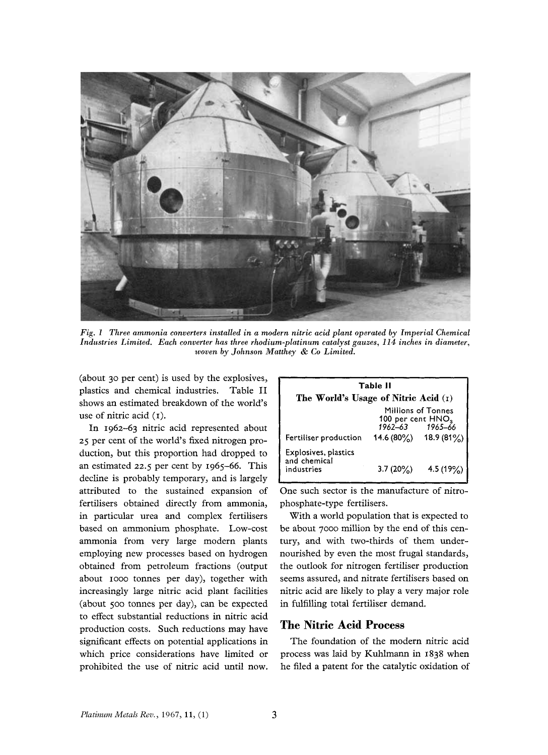

*Fig. 1 Three ammonia converters installed in a modern nitric acid plant operated by Imperial Chemical Industries Limited. Each converter has three rhodium-platinum catalyst gauzes, 114 inches in diameter, woven by Johnson Matthey* & *Co Limited.* 

(about 30 per cent) is used by the explosives, plastics and chemical industries. Table **I1**  shows an estimated breakdown of the world's use of nitric acid  $(1)$ .

In 1962-63 nitric acid represented about 25 per cent of the world's fixed nitrogen production, but this proportion had dropped to an estimated 22.5 per cent by 1965-66. This decline is probably temporary, and is largely attributed to the sustained expansion of fertilisers obtained directly from ammonia, in particular urea and complex fertilisers based on ammonium phosphate. Low-cost ammonia from very large modern plants employing new processes based on hydrogen obtained from petroleum fractions (output about **1000** tonnes per day), together with increasingly large nitric acid plant facilities (about 500 tonnes per day), can be expected to effect substantial reductions in nitric acid production costs. Such reductions may have significant effects on potential applications in which price considerations have limited or prohibited the use of nitric acid until now.

| Table II                                           |                                                          |                    |  |  |  |  |  |
|----------------------------------------------------|----------------------------------------------------------|--------------------|--|--|--|--|--|
| The World's Usage of Nitric Acid (1)               |                                                          |                    |  |  |  |  |  |
|                                                    | 100 per cent HNO <sub>3</sub><br>$1962 - 63$ $1965 - 66$ | Millions of Tonnes |  |  |  |  |  |
| Fertiliser production                              | 14.6 $(80\%)$                                            | 18.9 (81%)         |  |  |  |  |  |
| Explosives, plastics<br>and chemical<br>inqustries | $3.7(20\%)$                                              | 4.5(19%)           |  |  |  |  |  |

One such sector is the manufacture of nitrophosphate-type fertilisers.

With a world population that is expected to be about 7000 million by the end of this century, and with two-thirds of them undernourished by even the most frugal standards, the outlook for nitrogen fertiliser production seems assured, and nitrate fertilisers based on nitric acid are likely to play a very major role in fulfilling total fertiliser demand.

#### **The Nitric Acid Process**

The foundation of the modern nitric acid process was laid by Kuhlmann in 1838 when he filed a patent for the catalytic oxidation **of**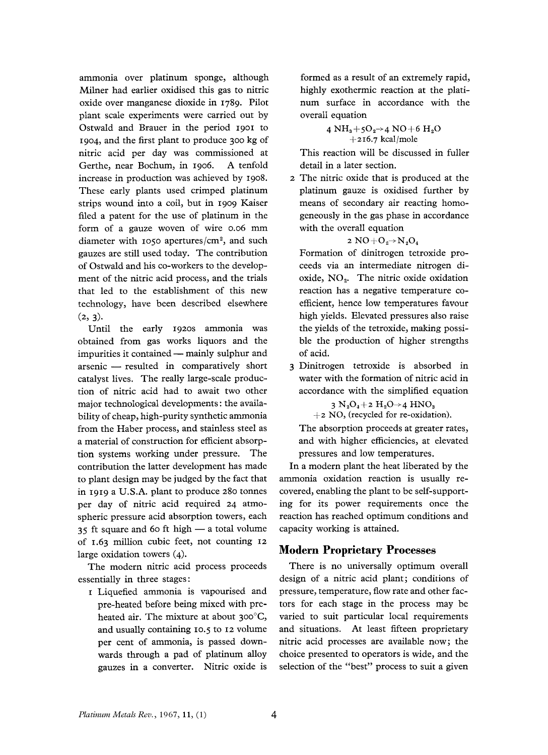ammonia over platinum sponge, although Milner had earlier oxidised this gas to nitric oxide over manganese dioxide in 1789. Pilot plant scale experiments were carried out by Ostwald and Brauer in the period 1901 to 1904, and the first plant to produce 300 kg of nitric acid per day was commissioned at Gerthe, near Bochum, in 1906. A tenfold increase in production was achieved by 1908. These early plants used crimped platinum strips wound into a coil, but in 1909 Kaiser filed a patent for the use of platinum in the form of a gauze woven of wire 0.06 mm diameter with 1050 apertures/ $\rm cm^2$ , and such gauzes are still used today. The contribution of Ostwald and his co-workers to the development of the nitric acid process, and the trials that led to the establishment of this new technology, have been described elsewhere  $(2, 3)$ .

Until the early 1920s ammonia was obtained from gas works liquors and the Until the early 1920s annihold was<br>obtained from gas works liquors and the<br>impurities it contained — mainly sulphur and obtained from gas works inducted<br>impurities it contained — mainly sulphur and<br>arsenic — resulted in comparatively short catalyst lives. The really large-scale production of nitric acid had to await two other major technological developments : the availability of cheap, high-purity synthetic ammonia from the Haber process, and stainless steel as a material of construction for efficient absorption systems working under pressure. The contribution the latter development has made to plant design may be judged by the fact that in 1919 a U.S.A. plant to produce 280 tonnes per day of nitric acid required 24 atmospheric pressure acid absorption towers, each **35** ft square and 60 ft high - a total volume of 1.63 million cubic feet, not counting 12 large oxidation towers (4).

The modern nitric acid process proceeds essentially in three stages :

I Liquefied ammonia is vapourised and pre-heated before being mixed with preheated air. The mixture at about 300°C, and usually containing 10.5 to 12 volume per cent of ammonia, is passed downwards through a pad of platinum alloy gauzes in a converter. Nitric oxide is formed as a result of an extremely rapid, highly exothermic reaction at the platinum surface in accordance with the overall equation

> 4  $NH_3 + 5O_2 \rightarrow 4$   $NO + 6$   $H_2O$ + **2 16.7** kcal/mole

This reaction will be discussed in fuller detail in a later section.

2 The nitric oxide that is produced at the platinum gauze is oxidised further by means of secondary air reacting homogeneously in the gas phase in accordance with the overall equation

$$
2\,\mathrm{NO}\!+\!O_2\!\!\rightarrow\!N_2O_4
$$

Formation of dinitrogen tetroxide proceeds via an intermediate nitrogen dioxide,  $NO<sub>2</sub>$ . The nitric oxide oxidation reaction has a negative temperature coefficient, hence low temperatures favour high yields. Elevated pressures also raise the yields of the tetroxide, making possible the production of higher strengths of acid.

*3* Dinitrogen tetroxide is absorbed in water with the formation of nitric acid in accordance with the simplified equation

$$
3\;{\rm N_2O_4}{+2}\;{\rm H_2O}{\rightarrow}4\;{\rm HNO_3}
$$

**+z** NO, (recycled for re-oxidation). The absorption proceeds at greater rates, and with higher efficiencies, at elevated pressures and low temperatures.

In a modern plant the heat liberated by the ammonia oxidation reaction is usually recovered, enabling the plant to be self-supporting for its power requirements once the reaction has reached optimum conditions and capacity working is attained.

#### **Modern Proprietary Processes**

There is no universally optimum overall design of a nitric acid plant; conditions of pressure, temperature, flow rate and other factors for each stage in the process may be varied to suit particular local requirements and situations. At least fifteen proprietary nitric acid processes are available now; the choice presented to operators is wide, and the selection of the "best" process to suit a given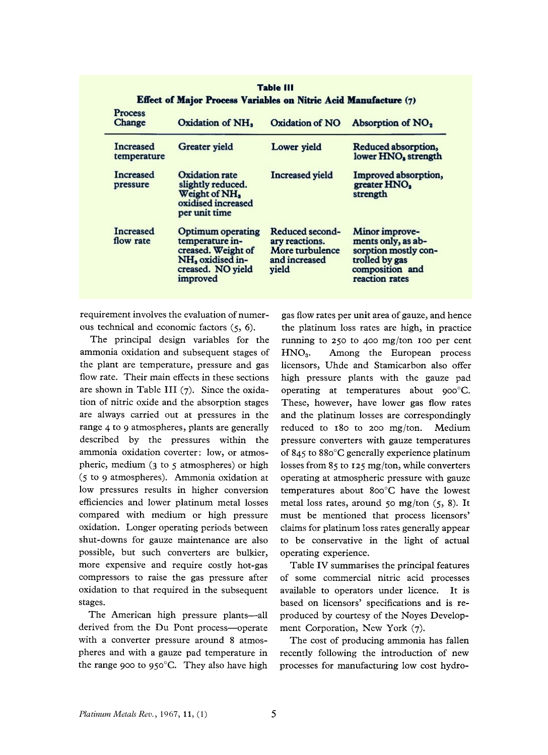| <b>Process</b><br>Change      | Oxidation of NH <sub>3</sub>                                                                                                | Oxidation of NO                                                                | Absorption of NO <sub>2</sub>                                                                                       |  |  |
|-------------------------------|-----------------------------------------------------------------------------------------------------------------------------|--------------------------------------------------------------------------------|---------------------------------------------------------------------------------------------------------------------|--|--|
| Increased<br>temperature      | Greater yield                                                                                                               | Lower yield                                                                    | Reduced absorption,<br>lower HNO <sub>3</sub> strength                                                              |  |  |
| <b>Increased</b><br>pressure  | <b>Oxidation rate</b><br>slightly reduced.<br>Weight of NH <sub>3</sub><br>oxidised increased<br>per unit time              | <b>Increased vield</b>                                                         | Improved absorption,<br>greater HNO <sub>3</sub><br>strength                                                        |  |  |
| <b>Increased</b><br>flow rate | Optimum operating<br>temperature in-<br>creased. Weight of<br>NH <sub>a</sub> oxidised in-<br>creased. NO yield<br>improved | Reduced second-<br>ary reactions.<br>More turbulence<br>and increased<br>vield | Minor improve-<br>ments only, as ab-<br>sorption mostly con-<br>trolled by gas<br>composition and<br>reaction rates |  |  |

requirement involves the evaluation of numerous technical and economic factors *(5,* 6).

The principal design variables for the ammonia oxidation and subsequent stages of the plant are temperature, pressure and gas flow rate. Their main effects in these sections are shown in Table I11 **(7).** Since the oxidation of nitric oxide and the absorption stages are always carried out at pressures in the range 4 to 9 atmospheres, plants are generally described by the pressures within the ammonia oxidation coverter: low, or atmospheric, medium **(3** to 5 atmospheres) or high *(5* to 9 atmospheres). Ammonia oxidation at low pressures results in higher conversion efficiencies and lower platinum metal losses compared with medium or high pressure oxidation. Longer operating periods between shut-downs for gauze maintenance are also possible, but such converters are bulkier, more expensive and require costly hot-gas compressors to raise the gas pressure after oxidation to that required in the subsequent stages.

The American high pressure plants-all derived from the Du Pont process-operate with a converter pressure around **8** atmospheres and with a gauze pad temperature in the range 900 to *950°C.* They also have high

gas flow rates per unit area of gauze, and hence the platinum loss rates are high, in practice running to **250** to 400 mg/ton **IOO** per cent HNO,. Among the European process licensors, Uhde and Stamicarbon also offer high pressure plants with the gauze pad operating at temperatures about *900°C.*  These, however, have lower gas flow rates and the platinum losses are correspondingly reduced to **180** to zoo mg/ton. Medium pressure converters with gauze temperatures of 845 to *880°C* generally experience platinum losses from 85 to **125** mg/ton, while converters operating at atmospheric pressure with gauze temperatures about *80o"C* have the lowest metal loss rates, around **50** mg/ton *(5,* **8).** It must be mentioned that process licensors' claims for platinum loss rates generally appear to be conservative in the light of actual operating experience.

Table IV summarises the principal features of some commercial nitric acid processes available to operators under licence. It is based on licensors' specifications and is reproduced by courtesy of the Noyes Development Corporation, New York **(7).** 

The cost of producing ammonia has fallen recently following the introduction of new processes for manufacturing low cost hydro-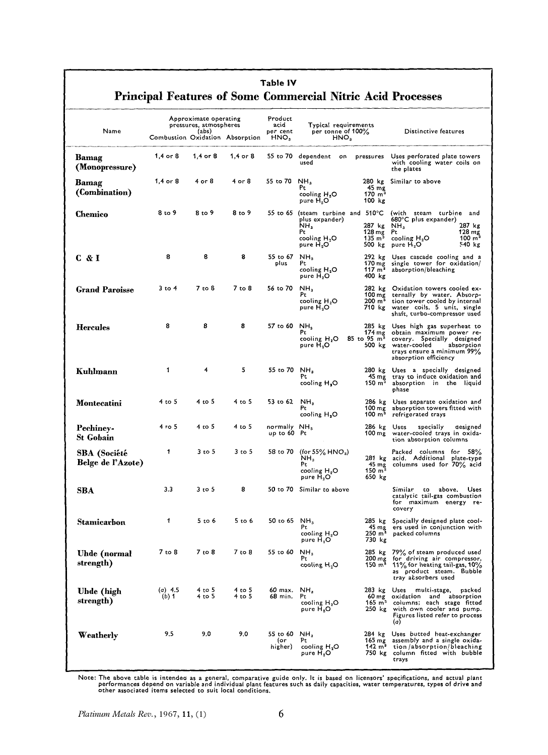| Table IV<br>Principal Features of Some Commercial Nitric Acid Processes |                                 |                                                          |                  |                                     |                                                                                                             |                                                                            |                                                                                                                                                                                            |
|-------------------------------------------------------------------------|---------------------------------|----------------------------------------------------------|------------------|-------------------------------------|-------------------------------------------------------------------------------------------------------------|----------------------------------------------------------------------------|--------------------------------------------------------------------------------------------------------------------------------------------------------------------------------------------|
| Name                                                                    | Combustion Oxidation Absorption | Approximate operating<br>pressures, atmospheres<br>(abs) |                  | Product<br>acid<br>per cent<br>HNO, | Typical requirements<br>per tonne of 100%<br>HNO <sub>3</sub>                                               |                                                                            | Distinctive features                                                                                                                                                                       |
| Bamag<br>(Monopressure)                                                 | $1,4$ or $8$                    | $1,4$ or $8$                                             | $1.4$ or $8$     |                                     | 55 to 70 dependent on<br>used                                                                               |                                                                            | pressures Uses perforated plate towers<br>with cooling water coils on<br>the plates                                                                                                        |
| Bamag<br>(Combination)                                                  | 1,4 or 8                        | 4 or 8                                                   | 4 or 8           | 55 to 70 NH <sub>3</sub>            | Pt<br>cooling H <sub>2</sub> O<br>pure $H_2O$                                                               | 45 mg<br>$170 \, m3$<br>100 kg                                             | 280 kg Similar to above                                                                                                                                                                    |
| Chemico                                                                 | 8 to 9                          | 8t09                                                     | 8 to 9           |                                     | 55 to 65 (steam turbine and 510°C<br>plus expander)<br>NH,<br>Pt<br>cooling H <sub>2</sub> O<br>pure $H_2O$ | 287 kg NH <sub>3</sub><br>$128 \text{ mg}$<br>135 m <sup>3</sup><br>500 kg | (with steam turbine and<br>680°C plus expander)<br>287 kg<br>128 mg<br>Pt<br>cooling H <sub>2</sub> O<br>100 m <sup>3</sup><br>$pure H_2O$<br>540 kg                                       |
| C & I                                                                   | 8                               | 8                                                        | 8                | 55 to 67<br>plus                    | NH <sub>a</sub><br>Pt<br>cooling $H_2O$<br>pure $H_2O$                                                      | 292 kg<br>170 mg<br>117 m <sup>2</sup><br>400 kg                           | Uses cascade cooling and a<br>single tower for oxidation/<br>absorption/bleaching                                                                                                          |
| <b>Grand Paroisse</b>                                                   | 3 to 4                          | 7 to 8                                                   | $7$ to $8$       | 56 to 70                            | NH <sub>3</sub><br>Pt<br>cooling $H_2O$<br>pure $H_3O$                                                      | 282 kg<br>100 mg<br>200 mª                                                 | Oxidation towers cooled ex-<br>ternally by water. Absorp-<br>tion tower cooled by internal<br>710 kg water coils. 5 unit, single<br>shaft, turbo-compressor used                           |
| <b>Hercules</b>                                                         | 8                               | 8                                                        | 8                | 57 to 60                            | NH <sub>3</sub><br>Pt<br>cooling H <sub>2</sub> O<br>pure $H_2O$                                            | 285 kg<br>$174 \text{ mg}$<br>$85$ to $95$ m <sup>3</sup><br>500 kg        | Uses high gas superheat to<br>obtain maximum power re-<br>covery. Specially designed<br>water-cooled<br>absorption<br>trays ensure a minimum 99%<br>absorption efficiency                  |
| Kuhlmann                                                                | 1                               | 4                                                        | 5                | 55 to 70 NH <sub>a</sub>            | Pt<br>cooling H <sub>2</sub> O                                                                              | 45 mg<br>$150 \; \mathrm{m}^3$                                             | 280 kg Uses a specially designed<br>tray to induce oxidation and<br>absorption in the liquid<br>phase                                                                                      |
| Montecatini                                                             | 4 to 5                          | 4 to 5                                                   | $4$ to 5         | 53 to 62 $NHa$                      | Pt<br>cooling H <sub>2</sub> O                                                                              | 100 $mg$<br>$100 \; \mathrm{m}^3$                                          | 286 kg Uses separate oxidation and<br>absorption towers fitted with<br>refrigerated trays                                                                                                  |
| Pechiney-<br>St Gobain                                                  | $4, r$ o $5$                    | 4 to 5                                                   | 4 to 5           | normally $NH3$<br>up to 60 Pt       |                                                                                                             | 286 kg Uses                                                                | specially<br>designed<br>100 mg water-cooled trays in oxida-<br>tion absorption columns                                                                                                    |
| SBA (Société<br>Belge de l'Azote)                                       | 1                               | $3$ to $5$                                               | $3$ to $5$       | 58 to 70                            | (for $55\%$ HNO <sub>3</sub> )<br>NH <sub>3</sub><br>Pt<br>cooling H <sub>2</sub> O<br>pure $H_2O$          | $45 \text{ mg}$<br>$150 \; \mathrm{m}^3$<br>650 kg                         | Packed columns for 58%<br>281 kg acid. Additional plate-type<br>columns used for 70% acid                                                                                                  |
| SBA                                                                     | 3.3                             | 3 to 5                                                   | 8                |                                     | 50 to 70 Similar to above                                                                                   |                                                                            | Similar to above.<br>Uses<br>catalytic tail-gas combustion<br>for maximum energy re-<br>covery                                                                                             |
| Stamicarbon                                                             | 1                               | $5$ to $6$                                               | $5$ to $6$       | 50 to 65 $NH3$                      | Ρt<br>cooling H <sub>2</sub> O<br>pure H <sub>2</sub> O                                                     | 45 mg<br>$250 \; \mathrm{m}^3$<br>730 kg                                   | 285 kg Specially designed plate cool-<br>ers used in conjunction with<br>packed columns                                                                                                    |
| Uhde (normal<br>strength)                                               | $7$ to $8$                      | 7 to 8                                                   | $7$ to $8$       | 55 to 60                            | NH <sub>3</sub><br>Pt<br>cooling H <sub>2</sub> O                                                           | 200 ուց<br>150 m <sup>s</sup>                                              | 285 kg 79% of steam produced used<br>for driving air compressor,<br>11% for heating tail-gas, $10\%$<br>as product steam. Bubble<br>tray absorbers used                                    |
| Uhde (high<br>strength)                                                 | $(a)$ 4.5<br>$(b)$ 1            | 4 to 5<br>4 to 5                                         | 4 to 5<br>4 to 5 | 60 max.<br>68 min.                  | NH,<br>Pt.<br>cooling H <sub>2</sub> O<br>pure H <sub>2</sub> O                                             | 60 mg                                                                      | 283 kg Uses multi-stage, packed<br>oxidation and absorption<br>165 m <sup>3</sup> columns; each stage fitted<br>250 kg with own cooler and pump.<br>Figures listed refer to process<br>(a) |
| Weatherly                                                               | 9.5                             | 9.0                                                      | 9.0              | 55 to 60<br>(or<br>higher)          | NH <sub>3</sub><br>Ρt<br>cooling H <sub>2</sub> O<br>pure H <sub>2</sub> O                                  | 165 mg                                                                     | 284 kg Uses butted heat-exchanger<br>assembly and a single oxida-<br>142 m <sup>3</sup> tion/absorption/bleaching<br>750 kg column fitted with bubble<br>trays                             |

Note: The above table is intended as a general, comparative guide only. It is based on licensors' specifications, and actual plant<br>performances depend on variable and individual plant features such as daily capacities, wat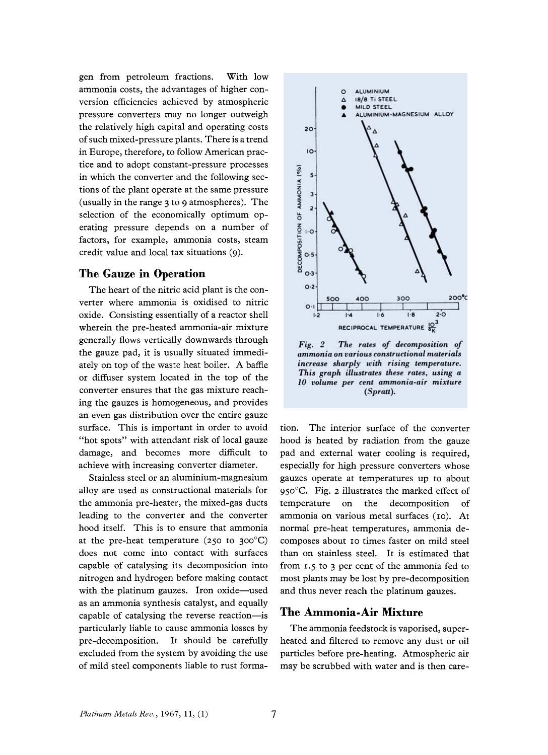gen from petroleum fractions. With low ammonia costs, the advantages of higher conversion efficiencies achieved by atmospheric pressure converters may no longer outweigh the relatively high capital and operating costs of such mixed-pressure plants. There is a trend in Europe, therefore, to follow American practice and to adopt constant-pressure processes in which the converter and the following sections of the plant operate at the same pressure (usually in the range **3** to 9 atmospheres). The selection of the economically optimum operating pressure depends on a number of factors, for example, ammonia costs, steam credit value and local tax situations (9).

#### **The Gauze in Operation**

The heart of the nitric acid plant is the converter where ammonia is oxidised to nitric oxide. Consisting essentially of a reactor shell wherein the pre-heated ammonia-air mixture generally flows vertically downwards through the gauze pad, it is usually situated immediately on top of the waste heat boiler. A baffle or diffuser system located in the top of the converter ensures that the gas mixture reaching the gauzes is homogeneous, and provides an even gas distribution over the entire gauze surface. This is important in order to avoid "hot spots" with attendant risk of local gauze damage, and becomes more difficult to achieve with increasing converter diameter.

Stainless steel or an aluminium-magnesium alloy are used as constructional materials for the ammonia pre-heater, the mixed-gas ducts leading to the converter and the converter hood itself. This is to ensure that ammonia at the pre-heat temperature  $(250 \text{ to } 300^{\circ} \text{C})$ does not come into contact with surfaces capable of catalysing its decomposition into nitrogen and hydrogen before making contact with the platinum gauzes. Iron oxide-used as an ammonia synthesis catalyst, and equally capable of catalysing the reverse reaction-is particularly liable to cause ammonia losses by pre-decomposition. It should be carefully excluded from the system by avoiding the use of mild steel components liable to rust forma-



Fig. 2 The rates of decomposition of ammonia on various constructional materials increase sharply with rising temperature. This graph illustrates these rates, using a 10 volume per cent ammonia-air mixture (Spratt).

tion. The interior surface of the converter hood is heated by radiation from the gauze pad and external water cooling is required, especially for high pressure converters whose gauzes operate at temperatures up to about 950°C. Fig. 2 illustrates the marked effect of temperature on the decomposition of ammonia on various metal surfaces **(10).** At normal pre-heat temperatures, ammonia decomposes about *10* times faster on mild steel than on stainless steel. It is estimated that from **1.5** to **3** per cent of the ammonia fed to most plants may be lost by pre-decomposition and thus never reach the platinum gauzes.

#### **The Ammonia-Air Mixture**

The ammonia feedstock is vaporised, superheated and filtered to remove any dust or oil particles before pre-heating. Atmospheric air may be scrubbed with water and is then care-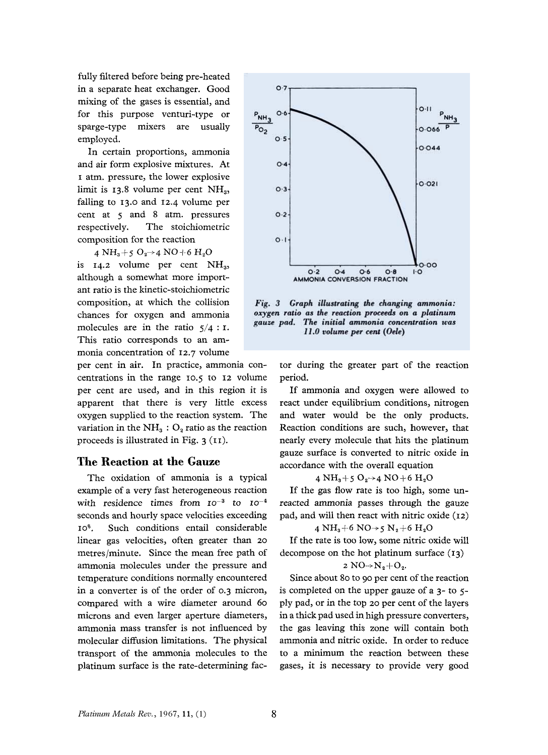fully filtered before being pre-heated in a separate heat exchanger. Good mixing of the gases is essential, and for this purpose venturi-type or sparge-type mixers are usually employed.

In certain proportions, ammonia and air form explosive mixtures. At I atm. pressure, the lower explosive limit is 13.8 volume per cent  $NH<sub>a</sub>$ , falling to 13.0 and 12.4 volume per cent at *5* and 8 atm. pressures respectively. The stoichiometric composition for the reaction

4  $NH_3 + 5 O_2 \rightarrow 4 NO + 6 H_2O$ 

is  $14.2$  volume per cent  $NH<sub>3</sub>$ , although a somewhat more important ratio is the kinetic-stoichiometric composition, at which the collision chances for oxygen and ammonia molecules are in the ratio  $5/4$ : I. This ratio corresponds to an ammonia concentration of 12.7 volume

per cent in air. In practice, ammonia concentrations in the range 10.5 to 12 volume per cent are used, and in this region it is apparent that there is very little excess oxygen supplied to the reaction system. The variation in the  $NH<sub>3</sub>: O<sub>2</sub>$  ratio as the reaction proceeds is illustrated in Fig. **3** (I I).

#### **The Reaction at the Gauze**

The oxidation of ammonia is a typical example of a very fast heterogeneous reaction with residence times from  $I0^{-3}$  to  $I0^{-4}$ seconds and hourly space velocities exceeding **108.** Such conditions entail considerable linear gas velocities, often greater than 20 metres/minute. Since the mean free path of ammonia molecules under the pressure and temperature conditions normally encountered in a converter is of the order of 0.3 micron, compared with a wire diameter around 60 microns and even larger aperture diameters, ammonia mass transfer is not influenced by molecular diffusion limitations. The physical transport of the ammonia molecules to the platinum surface is the rate-determining fac-



Fig. 3 Graph illustrating the changing ammonia: oxygen ratio as the reaction proceeds on a platinum gauze pad. The initial ammonia concentration was 11.0 volume per cent (Oele)

tor during the greater part of the reaction period.

If ammonia and oxygen were allowed to react under equilibrium conditions, nitrogen and water would be the only products. Reaction conditions are such, however, that nearly every molecule that hits the platinum gauze surface is converted to nitric oxide in accordance with the overall equation

4 NH<sub>3</sub>+5 O<sub>2</sub>→4 NO+6 H<sub>2</sub>O

If the gas flow rate is too high, some unreacted ammonia passes through the gauze pad, and will then react with nitric oxide **(12)** 

$$
4 NH_3 + 6 NO \rightarrow 5 N_2 + 6 H_2O
$$

If the rate is too low, some nitric oxide will decompose on the hot platinum surface **(13)** 

$$
2\,\mathrm{NO}\rightarrow\mathrm{N}_2+\mathrm{O}_2
$$

Since about 80 to go per cent of the reaction is completed on the upper gauze of a 3- to 5 ply pad, or in the top 20 per cent of the layers in a thick pad used in high pressure converters, the gas leaving this zone will contain both ammonia and nitric oxide. In order to reduce to a minimum the reaction between these gases, it is necessary to provide very good